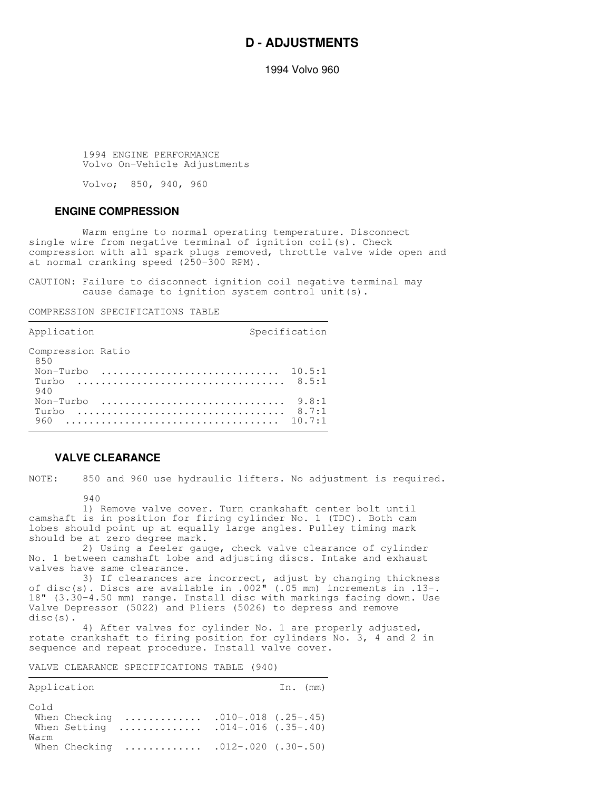# **D - ADJUSTMENTS**

1994 Volvo 960

 1994 ENGINE PERFORMANCE Volvo On-Vehicle Adjustments

Volvo; 850, 940, 960

#### **ENGINE COMPRESSION**

 Warm engine to normal operating temperature. Disconnect single wire from negative terminal of ignition coil(s). Check compression with all spark plugs removed, throttle valve wide open and at normal cranking speed (250-300 RPM).

CAUTION: Failure to disconnect ignition coil negative terminal may cause damage to ignition system control unit(s).

,我们就会不会不会。""我们,我们就会不会不会,我们就会不会不会,我们就会不会不会。""我们,我们就会不会不会,我们就会不会不会。""我们,我们就会不会不会,我们

COMPRESSION SPECIFICATIONS TABLE

| Application                        | Specification            |
|------------------------------------|--------------------------|
| Compression Ratio<br>850           |                          |
| Non-Turbo $10.5:1$<br>Turbo<br>940 |                          |
| Non-Turbo<br>Turbo<br>960          | 9.8:1<br>8.7:1<br>10.7:1 |

## **VALVE CLEARANCE**

NOTE: 850 and 960 use hydraulic lifters. No adjustment is required.

 $940$ 

 1) Remove valve cover. Turn crankshaft center bolt until camshaft is in position for firing cylinder No. 1 (TDC). Both cam lobes should point up at equally large angles. Pulley timing mark should be at zero degree mark.

 2) Using a feeler gauge, check valve clearance of cylinder No. 1 between camshaft lobe and adjusting discs. Intake and exhaust valves have same clearance.

 3) If clearances are incorrect, adjust by changing thickness of disc(s). Discs are available in .002" (.05 mm) increments in .13-. 18" (3.30-4.50 mm) range. Install disc with markings facing down. Use Valve Depressor (5022) and Pliers (5026) to depress and remove disc(s).

 4) After valves for cylinder No. 1 are properly adjusted, rotate crankshaft to firing position for cylinders No. 3, 4 and 2 in sequence and repeat procedure. Install valve cover.

VALVE CLEARANCE SPECIFICATIONS TABLE (940)

| Application |                                                     |                       | In. (mm) |  |
|-------------|-----------------------------------------------------|-----------------------|----------|--|
| Cold        | When Checking<br>When Setting $.014-.016$ (.35-.40) | $.010-.018$ (.25-.45) |          |  |
| Warm        | When Checking $.012-.020$ (.30-.50)                 |                       |          |  |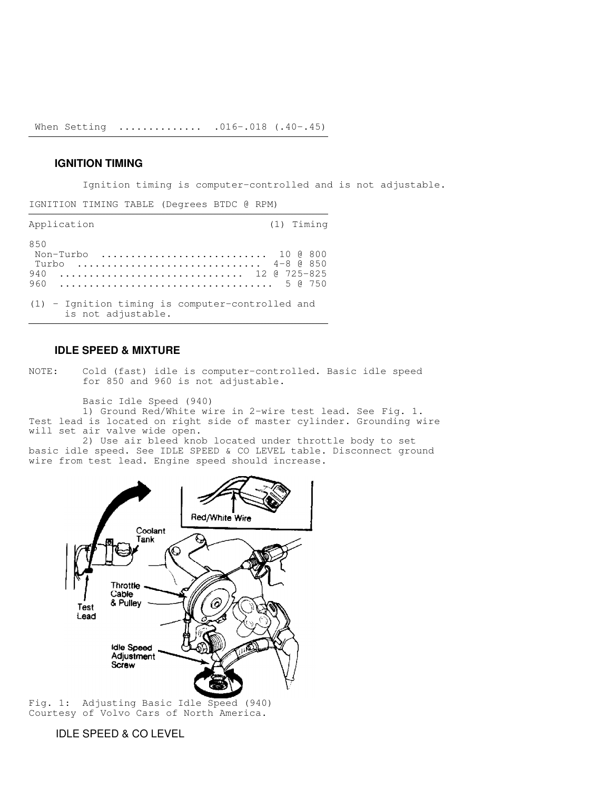When Setting .............. .016-.018 (.40-.45)

,我们就会不会不会。""我们,我们就会不会不会,我们就会不会不会,我们就会不会不会。""我们,我们就会不会不会,我们就会不会不会。""我们,我们就会不会不会,我们

# **IGNITION TIMING**

Ignition timing is computer-controlled and is not adjustable.

IGNITION TIMING TABLE (Degrees BTDC @ RPM)

| Application                                                                    | (1) Timing |
|--------------------------------------------------------------------------------|------------|
| 850<br>Non-Turbo  10 @ 800<br>4-8 @ 850<br>Turbo<br>12 @ 725-825<br>940<br>960 |            |
| $(1)$ - Ignition timing is computer-controlled and<br>is not adjustable.       |            |

### **IDLE SPEED & MIXTURE**

NOTE: Cold (fast) idle is computer-controlled. Basic idle speed for 850 and 960 is not adjustable.

Basic Idle Speed (940)

 1) Ground Red/White wire in 2-wire test lead. See Fig. 1. Test lead is located on right side of master cylinder. Grounding wire will set air valve wide open.

 2) Use air bleed knob located under throttle body to set basic idle speed. See IDLE SPEED & CO LEVEL table. Disconnect ground wire from test lead. Engine speed should increase.



Fig. 1: Adjusting Basic Idle Speed (940) Courtesy of Volvo Cars of North America.

# IDLE SPEED & CO LEVEL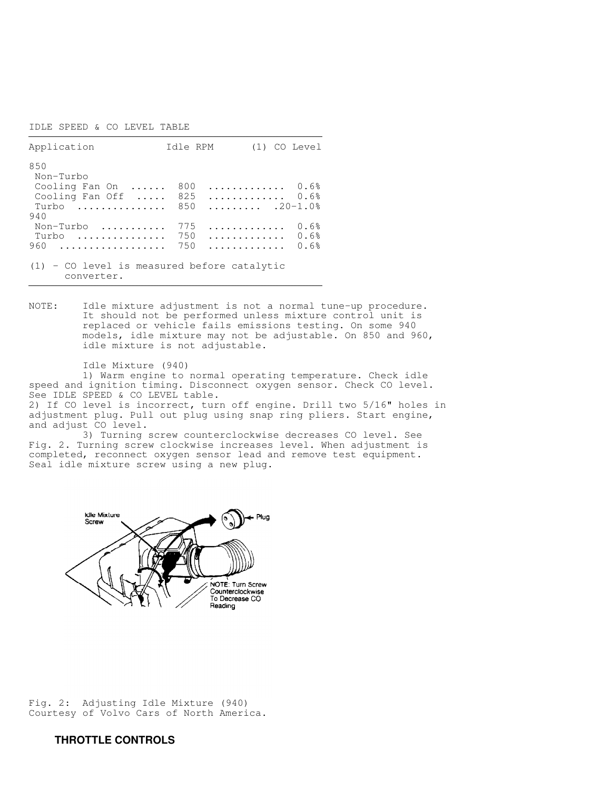IDLE SPEED & CO LEVEL TABLE

| Application                                                 | Idle RPM             | (1) CO Level                             |
|-------------------------------------------------------------|----------------------|------------------------------------------|
| 850<br>Non-Turbo                                            |                      |                                          |
| Cooling Fan On                                              | 800                  | 0.6%                                     |
| Cooling Fan Off<br>Turbo                                    | 825<br>850           | 0.6%<br>$\ldots \ldots \ldots$ . 20-1.0% |
| 940                                                         |                      |                                          |
| Non-Turbo<br>Turbo                                          | 775<br>.<br>750<br>. | 0.6%<br>0.6%                             |
| 960<br>.                                                    | 750<br>.             | 0.6%                                     |
| $(1)$ - CO level is measured before catalytic<br>converter. |                      |                                          |

,我们就会不会不会。""我们,我们不会不会不会,我们不会不会不会,我们不会不会不会。""我们,我们不会不会不会不会。""我们,我们不会不会不会,我们不会不会不会

,我们就是一个人的,我们就是一个人的,我们就是一个人的,我们就是一个人的。""我们,我们就是一个人的,我们就是一个人的。""我们,我们就是一个人的,我们就是一个

NOTE: Idle mixture adjustment is not a normal tune-up procedure. It should not be performed unless mixture control unit is replaced or vehicle fails emissions testing. On some 940 models, idle mixture may not be adjustable. On 850 and 960, idle mixture is not adjustable.

 Idle Mixture (940) 1) Warm engine to normal operating temperature. Check idle speed and ignition timing. Disconnect oxygen sensor. Check CO level. See IDLE SPEED & CO LEVEL table. 2) If CO level is incorrect, turn off engine. Drill two 5/16" holes in adjustment plug. Pull out plug using snap ring pliers. Start engine, and adjust CO level.

 3) Turning screw counterclockwise decreases CO level. See Fig. 2. Turning screw clockwise increases level. When adjustment is completed, reconnect oxygen sensor lead and remove test equipment. Seal idle mixture screw using a new plug.



Fig. 2: Adjusting Idle Mixture (940) Courtesy of Volvo Cars of North America.

# **THROTTLE CONTROLS**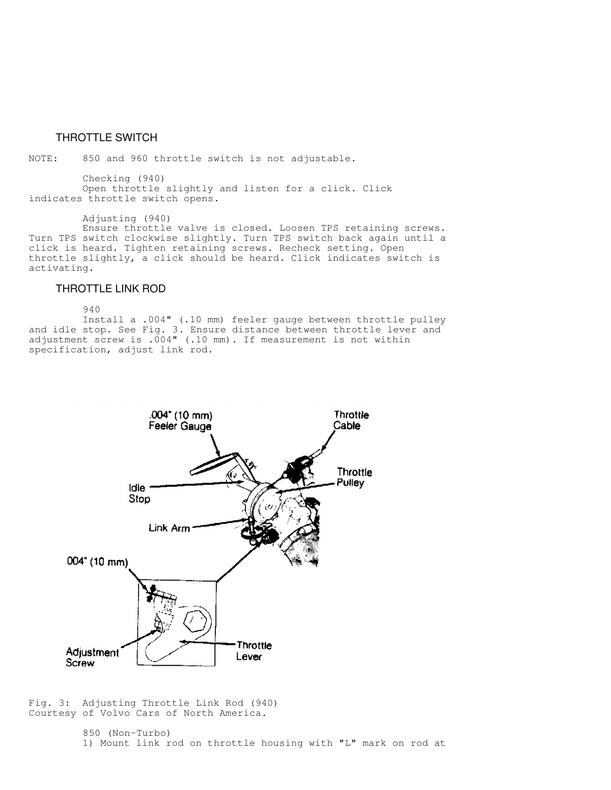## THROTTLE SWITCH

NOTE: 850 and 960 throttle switch is not adjustable.

 Checking (940) Open throttle slightly and listen for a click. Click indicates throttle switch opens.

Adjusting (940)

 Ensure throttle valve is closed. Loosen TPS retaining screws. Turn TPS switch clockwise slightly. Turn TPS switch back again until a click is heard. Tighten retaining screws. Recheck setting. Open throttle slightly, a click should be heard. Click indicates switch is activating.

#### THROTTLE LINK ROD

940

 Install a .004" (.10 mm) feeler gauge between throttle pulley and idle stop. See Fig. 3. Ensure distance between throttle lever and adjustment screw is .004" (.10 mm). If measurement is not within specification, adjust link rod.



Fig. 3: Adjusting Throttle Link Rod (940) Courtesy of Volvo Cars of North America.

> 850 (Non-Turbo) 1) Mount link rod on throttle housing with "L" mark on rod at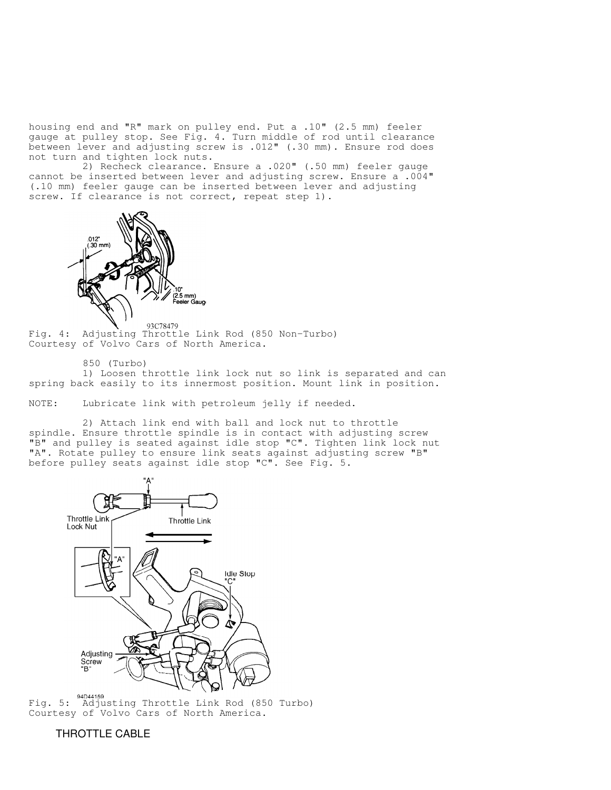housing end and "R" mark on pulley end. Put a .10" (2.5 mm) feeler gauge at pulley stop. See Fig. 4. Turn middle of rod until clearance between lever and adjusting screw is .012" (.30 mm). Ensure rod does not turn and tighten lock nuts.

 2) Recheck clearance. Ensure a .020" (.50 mm) feeler gauge cannot be inserted between lever and adjusting screw. Ensure a .004" (.10 mm) feeler gauge can be inserted between lever and adjusting screw. If clearance is not correct, repeat step 1).



Fig. 4: Adjusting Throttle Link Rod (850 Non-Turbo) Courtesy of Volvo Cars of North America.

850 (Turbo)

 1) Loosen throttle link lock nut so link is separated and can spring back easily to its innermost position. Mount link in position.

NOTE: Lubricate link with petroleum jelly if needed.

 2) Attach link end with ball and lock nut to throttle spindle. Ensure throttle spindle is in contact with adjusting screw "B" and pulley is seated against idle stop "C". Tighten link lock nut "A". Rotate pulley to ensure link seats against adjusting screw "B" before pulley seats against idle stop "C". See Fig. 5.



Fig. 5: Adjusting Throttle Link Rod (850 Turbo) Courtesy of Volvo Cars of North America.

#### THROTTLE CABLE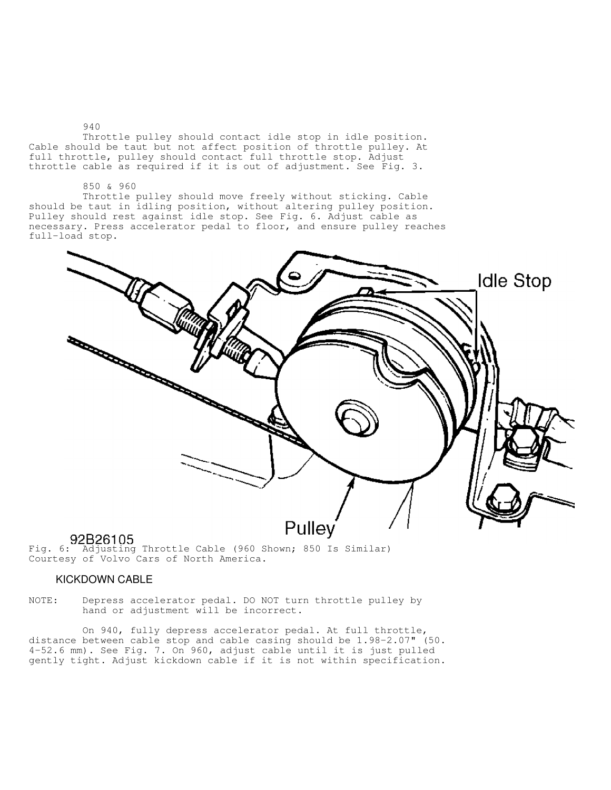Throttle pulley should contact idle stop in idle position. Cable should be taut but not affect position of throttle pulley. At full throttle, pulley should contact full throttle stop. Adjust throttle cable as required if it is out of adjustment. See Fig. 3.

#### 850 & 960

940

 Throttle pulley should move freely without sticking. Cable should be taut in idling position, without altering pulley position. Pulley should rest against idle stop. See Fig. 6. Adjust cable as necessary. Press accelerator pedal to floor, and ensure pulley reaches full-load stop.



Fig. 6: Adjusting Throttle Cable (960 Shown; 850 Is Similar) Courtesy of Volvo Cars of North America.

#### KICKDOWN CABLE

NOTE: Depress accelerator pedal. DO NOT turn throttle pulley by hand or adjustment will be incorrect.

 On 940, fully depress accelerator pedal. At full throttle, distance between cable stop and cable casing should be 1.98-2.07" (50. 4-52.6 mm). See Fig. 7. On 960, adjust cable until it is just pulled gently tight. Adjust kickdown cable if it is not within specification.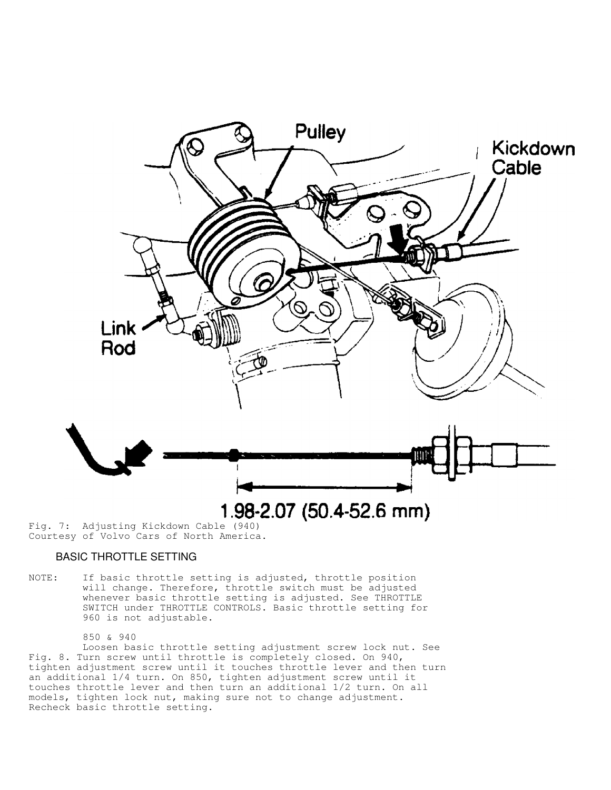

Courtesy of Volvo Cars of North America.

# BASIC THROTTLE SETTING

NOTE: If basic throttle setting is adjusted, throttle position will change. Therefore, throttle switch must be adjusted whenever basic throttle setting is adjusted. See THROTTLE SWITCH under THROTTLE CONTROLS. Basic throttle setting for 960 is not adjustable.

 850 & 940 Loosen basic throttle setting adjustment screw lock nut. See Fig. 8. Turn screw until throttle is completely closed. On 940, tighten adjustment screw until it touches throttle lever and then turn an additional 1/4 turn. On 850, tighten adjustment screw until it touches throttle lever and then turn an additional 1/2 turn. On all models, tighten lock nut, making sure not to change adjustment. Recheck basic throttle setting.